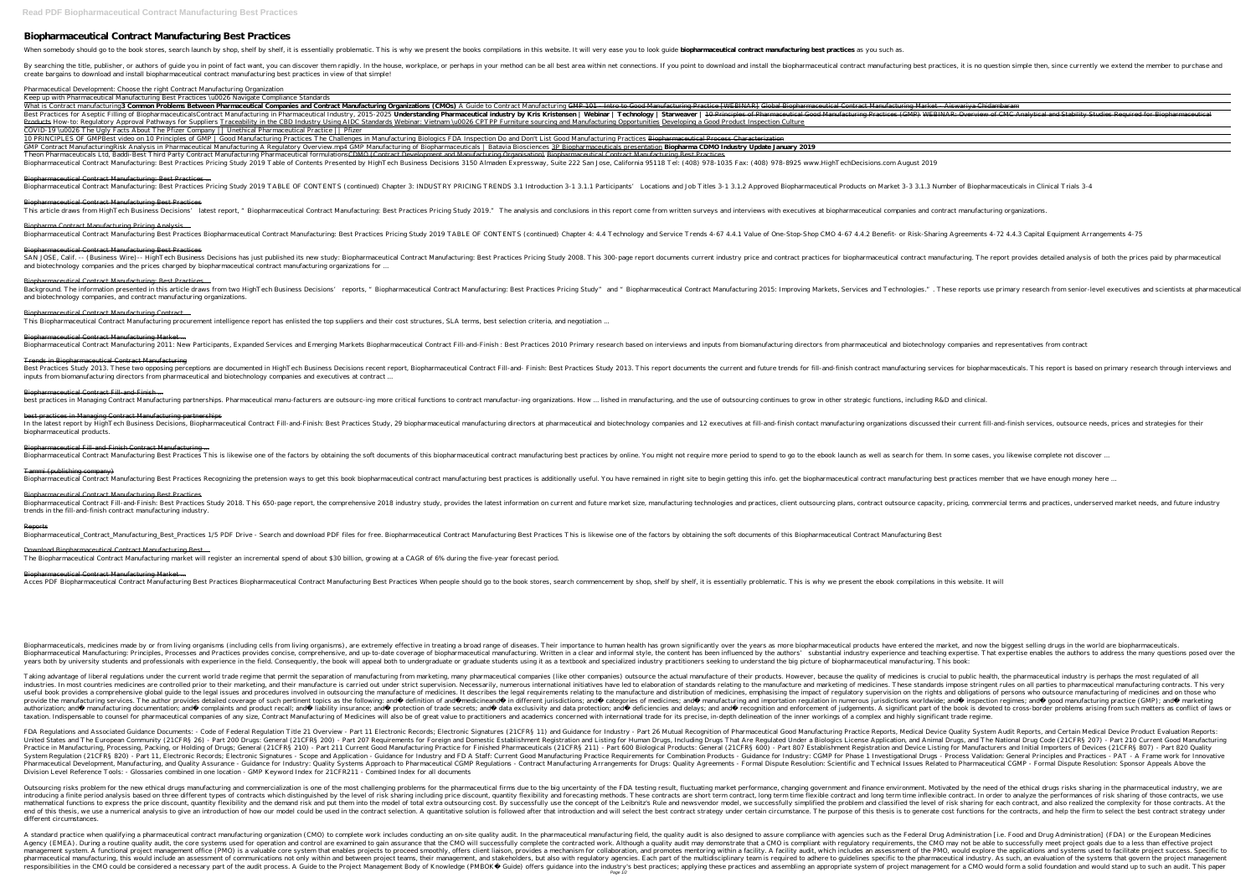# **Biopharmaceutical Contract Manufacturing Best Practices**

When somebody should go to the book stores, search launch by shop, shelf by shelf, it is essentially problematic. This is why we present the books compilations in this website. It will very ease you to look guide biopharma

By searching the title, publisher, or authors of guide you in point of fact want, you can discover them rapidly. In the house, workplace, or perhaps in your method can be all best area within net connections. If you point create bargains to download and install biopharmaceutical contract manufacturing best practices in view of that simple!

#### Pharmaceutical Development: Choose the right Contract Manufacturing Organization

Keep up with Pharmaceutical Manufacturing Best Practices \u0026 Navigate Compliance Standards

What is Contract manufacturing 3 Common Problems Between Pharmaceutical Companies and Contract Manufacturing Organizations (CMOs) A Guide to Contract Manufacturing Practice [WEBINAR] Global Biopharmaceutical Contract Manuf Best Practices for Aseptic Filling of Biopharmaceuticals Contract Manufacturing in Pharmaceutical Industry, 2015-2025 Understanding Pharmaceutical Good Manufacturing Practices (GMP) WEBINAR: Overview of CMC Analytical and Products How-to: Regulatory Approval Pathways for Suppliers Traceability in the CBD Industry Using AIDC Standards Webinar: Vietnam \u0026 CPTPP Furniture sourcing and Manufacturing Opportunities Developing a Good Product I COVID-19 \u0026 The Ugly Facts About The Pfizer Company || Unethical Pharmaceutical Practice || Pfizer

10 PRINCIPLES OF GMP Best video on 10 Principles of GMP | Good Manufacturing Practices The Challenges in Manufacturing Biologics FDA Inspection Do and Don't List Good Manufacturing Practices Biopharmaceutical Process Chara GMP Contract Manufacturing Risk Analysis in Pharmaceutical Manufacturing A Regulatory Overview.mp4 GMP Manufacturing of Biopharmaceuticals | Batavia Biosciences 3P Biopharmaceuticals presentation Biopharma CDMO Industry Up Theon Pharmaceuticals Ltd, Baddi-Best Third Party Contract Manufacturing Pharmaceutical formulations<del>CDMO (Contract Development and Manufacturing Organisation) Biopharmaceutical Contract Manufacturing Best Practices</del> Biopharmaceutical Contract Manufacturing: Best Practices Pricing Study 2019 Table of Contents Presented by HighTech Business Decisions 3150 Almaden Expressway, Suite 222 San Jose, California 95118 Tel: (408) 978-1035 Fax:

SAN JOSE, Calif. -- (Business Wire)-- HighTech Business Decisions has just published its new study: Biopharmaceutical Contract Manufacturing: Best Practices for biopharmaceutical contract manufacturing. The report provides and biotechnology companies and the prices charged by biopharmaceutical contract manufacturing organizations for ...

Background. The information presented in this article draws from two HighTech Business Decisions' reports, "Biopharmaceutical Contract Manufacturing: Best Practices and Technologies.". These reports use primary research fr and biotechnology companies, and contract manufacturing organizations.

### Biopharmaceutical Contract Manufacturing: Best Practices ...

Biopharmaceutical Contract Manufacturing: Best Practices Pricing Study 2019 TABLE OF CONTENTS (continued) Chapter 3: INDUSTRY PRICING TRENDS 3.1 Introduction 3-1 3.1.2 Approved Biopharmaceutical Products on Market 3-3 3.1.

Best Practices Study 2013. These two opposing perceptions are documented in HighTech Business Decisions recent report, Biopharmaceutical Contract manufacturing services for biopharmaceuticals. This report is based on prima inputs from biomanufacturing directors from pharmaceutical and biotechnology companies and executives at contract ...

Biopharmaceutical Contract Manufacturing Best Practices

This article draws from HighTech Business Decisions' latest report, "Biopharmaceutical Contract Manufacturing: Best Practices Pricing Study 2019." The analysis and conclusions in this report come from written surveys and i

In the latest report by HighTech Business Decisions, Biopharmaceutical Contract Fill-and-Finish: Best Practices Study, 29 biopharmaceutical manufacturing organizations discussed their current fill-and-finish services, outs biopharmaceutical products.

# Biopharma Contract Manufacturing Pricing Analysis ...

Biopharmaceutical Contract Manufacturing Best Practices Biopharmaceutical Contract Manufacturing: Best Practices Pricing Study 2019 TABLE OF CONTENTS (continued) Chapter 4: 4.4 Technology and Service Trends 4-67 4.4.1 Valu

Biopharmaceutical Contract Manufacturing Best Practices

#### Biopharmaceutical Contract Manufacturing: Best Practices ...

## Biopharmaceutical Contract Manufacturing Contract ...

This Biopharmaceutical Contract Manufacturing procurement intelligence report has enlisted the top suppliers and their cost structures, SLA terms, best selection criteria, and negotiation .

### Biopharmaceutical Contract Manufacturing Market ...

Biopharmaceutical Contract Manufacturing 2011: New Participants, Expanded Services and Emerging Markets Biopharmaceutical Contract Fill-and-Finish : Best Practices 2010 Primary research based on interviews and inputs from

#### Trends in Biopharmaceutical Contract Manufacturing

#### Biopharmaceutical Contract Fill-and-Finish ...

best practices in Managing Contract Manufacturing partnerships. Pharmaceutical manu-facturers are outsourc-ing more critical functions to contract manufacturing, and the use of outsourcing continues to grow in other strate

#### best practices in Managing Contract Manufacturing partnerships

Biopharmaceutical Fill-and-Finish Contract Manufacturing ...

Biopharmaceutical Contract Manufacturing Best Practices This is likewise one of the factors by obtaining the soft documents of this biopharmaceutical contract manufacturing best practices by online. You might not require m

FDA Regulations and Associated Guidance Documents: - Code of Federal Regulation Title 21 Overview - Part 11 Electronic Records; Electronic Signatures (21CFRS 11) and Guidance for Industry - Part 26 Mutual Recognition of Ph United States and The European Community (21CFRS 26) - Part 200 Drugs: General (21CFRS 200) - Part 207 Requirements for Foreign and Domestic Establishment Registration and Animal Drugs, and The National Drugs Code (21CFRS Practice in Manufacturing, Processing, Packing, or Holding of Drugs; General (21CFR\$ 210) - Part 211 Current Good Manufacturing Practice for Finished Pharmaceuticals (21CFR\$ 600) - Part 807 Establishment Registration and D System Regulation (21CFRS 820) - Part 11, Electronic Records; Electronic Signatures - Scope and Application - Guidance for Industry: CGMP for Phase 1 Investigational Drugs - Process Validation: General Principles and Pract Pharmaceutical Development, Manufacturing, and Quality Assurance - Guidance for Industry: Quality Systems Approach to Pharmaceutical CGMP Regulations - Contract Manufacturing Arrangements - Formal Dispute Resolution: Scien Division Level Reference Tools: - Glossaries combined in one location - GMP Keyword Index for 21CFR211 - Combined Index for all documents

# Tammi (publishing company)

Biopharmaceutical Contract Manufacturing Best Practices Recognizing the pretension ways to get this book biopharmaceutical contract manufacturing best practices is additionally useful. You have remained in right site to be

Outsourcing risks problem for the new ethical drugs manufacturing and commercialization is one of the most challenging problems for the pharmaceutical firms due to the big uncertainty of the FDA testing result, fluctuating introducing a finite period analysis based on three different types of contracts which distinguished by the level of risk sharing including price discount, quantity flexible contract and long term time inflexible contract. nathematical functions to express the price discount, quantity flexibility and the demand risk and put them into the model of total extra outsourcing cost. By successfully simplified the level of risk sharing for each cont end of this thesis, we use a numerical analysis to give an introduction of how our model could be used in the contract selection. A quantitative solution is followed after that introduction and will select the best contrac different circumstances.

A standard practice when qualifying a pharmaceutical contract manufacturing organization (CMO) to complete work includes conducting an on-site quality audit. In the pharmaceutical manufacturing field, the quality audit. In Agency (EMEA). During a routine quality audit, the core systems used for operation and control are examined to gain assurance that the CMO will successfully complete the CMO may not be able to successfully meet project goa management system. A functional project management office (PMO) is a valuable core system that enables projects to proceed smoothly, offers client liaison, provides an assessment of the PMO, would explore the applications pharmaceutical manufacturing, this would include an assessment of communications not only within and between project teams, their management, and stakeholders, but also with regulatory agencies. Each part of the pharmaceut responsibilities in the CMO could be considered a necessary part of the audit process. A Guide to the Project Management Body of Knowledge (PMBOK® Guide) offers guidance into the industry's best practices; applying these p Page 1⁄2

Biopharmaceutical Contract Manufacturing Best Practices Biopharmaceutical Contract Fill-and-Finish: Best Practices Study 2018. This 650-page report, the comprehensive 2018 industry study, provides the latest information on current and future market size, manufacturing technolog trends in the fill-and-finish contract manufacturing industry.

#### Reports

Biopharmaceutical\_Contract\_Manufacturing\_Best\_Practices 1/5 PDF Drive - Search and download PDF files for free. Biopharmaceutical Contract Manufacturing Best Practices This is likewise one of the factors by obtaining the s

Download Biopharmaceutical Contract Manufacturing Best ...

The Biopharmaceutical Contract Manufacturing market will register an incremental spend of about \$30 billion, growing at a CAGR of 6% during the five-year forecast period.

Biopharmaceutical Contract Manufacturing Market ...

Acces PDF Biopharmaceutical Contract Manufacturing Best Practices Biopharmaceutical Contract Manufacturing Best Practices When people should go to the book stores, search commencement by shop, shelf by shelf, it is essenti

Biopharmaceuticals, medicines made by or from living organisms (including cells from living organisms), are extremely effective in treating a broad range of diseases. Their importance to human health has grown significantl Biopharmaceutical Manufacturing: Principles, Processes and Practices provides concise, comprehensive, and up-to-date coverage of biopharmaceutical manufacturing. Written in a clear and informal style, the content has been years both by university students and professionals with experience in the field. Consequently, the book will appeal both to undergraduate or graduate students using it as a textbook and specialized industry practitioners

Taking advantage of liberal regulations under the current world trade regime that permit the separation of manufacturing from marketing, many pharmaceutical companies) outsource the actual manufacture of their products. Ho industries. In most countries medicines are controlled prior to their marketing, and their manufacture is carried out under strict supervision. Necessarily, numerous international initiatives have led to elaboration of sta useful book provides a comprehensive global guide to the legal issues and procedures involved in outsourcing the manufacture of medicines. It describes the legal requirements relating to the manufacture of medicines. It de provide the manufacturing services. The author provides detailed coverage of such pertinent topics as the following: and definition of and medicines; and manufacturing and importation regulation in numerous jurisdictions; authorization; and manufacturing documentation; and complaints and product recall; and liability insurance; and liability insurance; and protection of trade secrets; and and recognition and enforcement of judgements. A sig taxation. Indispensable to counsel for pharmaceutical companies of any size, Contract Manufacturing of Medicines will also be of great value to practitioners and academics concerned with international trade for its precise